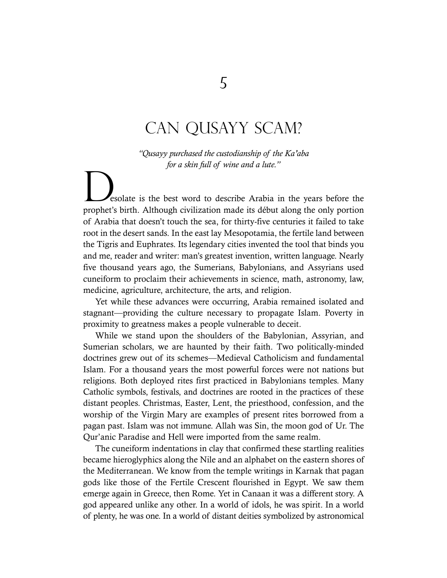## CAN QUSAYY SCAM?

*"Qusayy purchased the custodianship of the Ka'aba for a skin full of wine and a lute."*

esolate is the best word to describe Arabia in the years before the prophet's birth. Although civilization made its début along the only portion of Arabia that doesn't touch the sea, for thirty-five centuries it failed to take root in the desert sands. In the east lay Mesopotamia, the fertile land between the Tigris and Euphrates. Its legendary cities invented the tool that binds you and me, reader and writer: man's greatest invention, written language. Nearly five thousand years ago, the Sumerians, Babylonians, and Assyrians used cuneiform to proclaim their achievements in science, math, astronomy, law, medicine, agriculture, architecture, the arts, and religion.

Yet while these advances were occurring, Arabia remained isolated and stagnant—providing the culture necessary to propagate Islam. Poverty in proximity to greatness makes a people vulnerable to deceit.

While we stand upon the shoulders of the Babylonian, Assyrian, and Sumerian scholars, we are haunted by their faith. Two politically-minded doctrines grew out of its schemes—Medieval Catholicism and fundamental Islam. For a thousand years the most powerful forces were not nations but religions. Both deployed rites first practiced in Babylonians temples. Many Catholic symbols, festivals, and doctrines are rooted in the practices of these distant peoples. Christmas, Easter, Lent, the priesthood, confession, and the worship of the Virgin Mary are examples of present rites borrowed from a pagan past. Islam was not immune. Allah was Sin, the moon god of Ur. The Qur'anic Paradise and Hell were imported from the same realm.

The cuneiform indentations in clay that confirmed these startling realities became hieroglyphics along the Nile and an alphabet on the eastern shores of the Mediterranean. We know from the temple writings in Karnak that pagan gods like those of the Fertile Crescent flourished in Egypt. We saw them emerge again in Greece, then Rome. Yet in Canaan it was a different story. A god appeared unlike any other. In a world of idols, he was spirit. In a world of plenty, he was one. In a world of distant deities symbolized by astronomical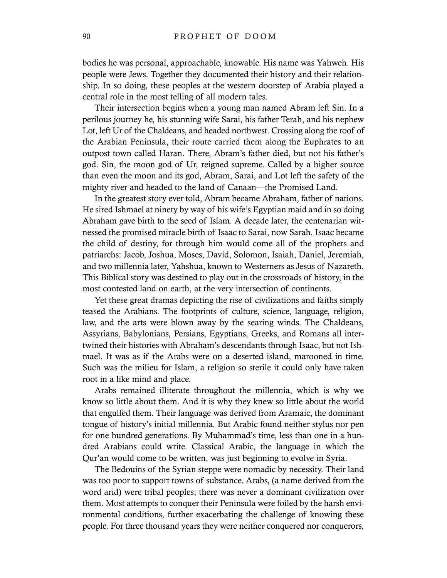bodies he was personal, approachable, knowable. His name was Yahweh. His people were Jews. Together they documented their history and their relationship. In so doing, these peoples at the western doorstep of Arabia played a central role in the most telling of all modern tales.

Their intersection begins when a young man named Abram left Sin. In a perilous journey he, his stunning wife Sarai, his father Terah, and his nephew Lot, left Ur of the Chaldeans, and headed northwest. Crossing along the roof of the Arabian Peninsula, their route carried them along the Euphrates to an outpost town called Haran. There, Abram's father died, but not his father's god. Sin, the moon god of Ur, reigned supreme. Called by a higher source than even the moon and its god, Abram, Sarai, and Lot left the safety of the mighty river and headed to the land of Canaan—the Promised Land.

In the greatest story ever told, Abram became Abraham, father of nations. He sired Ishmael at ninety by way of his wife's Egyptian maid and in so doing Abraham gave birth to the seed of Islam. A decade later, the centenarian witnessed the promised miracle birth of Isaac to Sarai, now Sarah. Isaac became the child of destiny, for through him would come all of the prophets and patriarchs: Jacob, Joshua, Moses, David, Solomon, Isaiah, Daniel, Jeremiah, and two millennia later, Yahshua, known to Westerners as Jesus of Nazareth. This Biblical story was destined to play out in the crossroads of history, in the most contested land on earth, at the very intersection of continents.

Yet these great dramas depicting the rise of civilizations and faiths simply teased the Arabians. The footprints of culture, science, language, religion, law, and the arts were blown away by the searing winds. The Chaldeans, Assyrians, Babylonians, Persians, Egyptians, Greeks, and Romans all intertwined their histories with Abraham's descendants through Isaac, but not Ishmael. It was as if the Arabs were on a deserted island, marooned in time. Such was the milieu for Islam, a religion so sterile it could only have taken root in a like mind and place.

Arabs remained illiterate throughout the millennia, which is why we know so little about them. And it is why they knew so little about the world that engulfed them. Their language was derived from Aramaic, the dominant tongue of history's initial millennia. But Arabic found neither stylus nor pen for one hundred generations. By Muhammad's time, less than one in a hundred Arabians could write. Classical Arabic, the language in which the Qur'an would come to be written, was just beginning to evolve in Syria.

The Bedouins of the Syrian steppe were nomadic by necessity. Their land was too poor to support towns of substance. Arabs, (a name derived from the word arid) were tribal peoples; there was never a dominant civilization over them. Most attempts to conquer their Peninsula were foiled by the harsh environmental conditions, further exacerbating the challenge of knowing these people. For three thousand years they were neither conquered nor conquerors,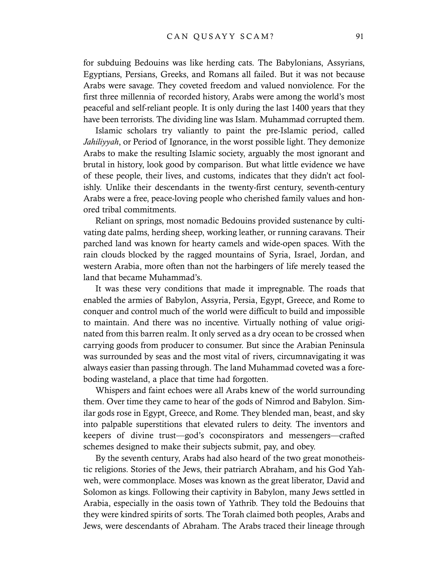for subduing Bedouins was like herding cats. The Babylonians, Assyrians, Egyptians, Persians, Greeks, and Romans all failed. But it was not because Arabs were savage. They coveted freedom and valued nonviolence. For the first three millennia of recorded history, Arabs were among the world's most peaceful and self-reliant people. It is only during the last 1400 years that they have been terrorists. The dividing line was Islam. Muhammad corrupted them.

Islamic scholars try valiantly to paint the pre-Islamic period, called *Jahiliyyah*, or Period of Ignorance, in the worst possible light. They demonize Arabs to make the resulting Islamic society, arguably the most ignorant and brutal in history, look good by comparison. But what little evidence we have of these people, their lives, and customs, indicates that they didn't act foolishly. Unlike their descendants in the twenty-first century, seventh-century Arabs were a free, peace-loving people who cherished family values and honored tribal commitments.

Reliant on springs, most nomadic Bedouins provided sustenance by cultivating date palms, herding sheep, working leather, or running caravans. Their parched land was known for hearty camels and wide-open spaces. With the rain clouds blocked by the ragged mountains of Syria, Israel, Jordan, and western Arabia, more often than not the harbingers of life merely teased the land that became Muhammad's.

It was these very conditions that made it impregnable. The roads that enabled the armies of Babylon, Assyria, Persia, Egypt, Greece, and Rome to conquer and control much of the world were difficult to build and impossible to maintain. And there was no incentive. Virtually nothing of value originated from this barren realm. It only served as a dry ocean to be crossed when carrying goods from producer to consumer. But since the Arabian Peninsula was surrounded by seas and the most vital of rivers, circumnavigating it was always easier than passing through. The land Muhammad coveted was a foreboding wasteland, a place that time had forgotten.

Whispers and faint echoes were all Arabs knew of the world surrounding them. Over time they came to hear of the gods of Nimrod and Babylon. Similar gods rose in Egypt, Greece, and Rome. They blended man, beast, and sky into palpable superstitions that elevated rulers to deity. The inventors and keepers of divine trust—god's coconspirators and messengers—crafted schemes designed to make their subjects submit, pay, and obey.

By the seventh century, Arabs had also heard of the two great monotheistic religions. Stories of the Jews, their patriarch Abraham, and his God Yahweh, were commonplace. Moses was known as the great liberator, David and Solomon as kings. Following their captivity in Babylon, many Jews settled in Arabia, especially in the oasis town of Yathrib. They told the Bedouins that they were kindred spirits of sorts. The Torah claimed both peoples, Arabs and Jews, were descendants of Abraham. The Arabs traced their lineage through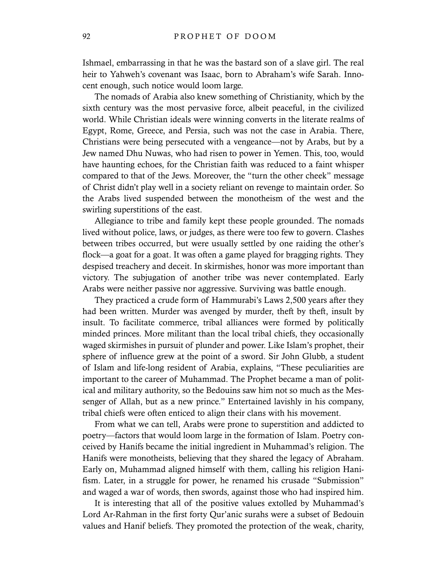Ishmael, embarrassing in that he was the bastard son of a slave girl. The real heir to Yahweh's covenant was Isaac, born to Abraham's wife Sarah. Innocent enough, such notice would loom large.

The nomads of Arabia also knew something of Christianity, which by the sixth century was the most pervasive force, albeit peaceful, in the civilized world. While Christian ideals were winning converts in the literate realms of Egypt, Rome, Greece, and Persia, such was not the case in Arabia. There, Christians were being persecuted with a vengeance—not by Arabs, but by a Jew named Dhu Nuwas, who had risen to power in Yemen. This, too, would have haunting echoes, for the Christian faith was reduced to a faint whisper compared to that of the Jews. Moreover, the "turn the other cheek" message of Christ didn't play well in a society reliant on revenge to maintain order. So the Arabs lived suspended between the monotheism of the west and the swirling superstitions of the east.

Allegiance to tribe and family kept these people grounded. The nomads lived without police, laws, or judges, as there were too few to govern. Clashes between tribes occurred, but were usually settled by one raiding the other's flock—a goat for a goat. It was often a game played for bragging rights. They despised treachery and deceit. In skirmishes, honor was more important than victory. The subjugation of another tribe was never contemplated. Early Arabs were neither passive nor aggressive. Surviving was battle enough.

They practiced a crude form of Hammurabi's Laws 2,500 years after they had been written. Murder was avenged by murder, theft by theft, insult by insult. To facilitate commerce, tribal alliances were formed by politically minded princes. More militant than the local tribal chiefs, they occasionally waged skirmishes in pursuit of plunder and power. Like Islam's prophet, their sphere of influence grew at the point of a sword. Sir John Glubb, a student of Islam and life-long resident of Arabia, explains, "These peculiarities are important to the career of Muhammad. The Prophet became a man of political and military authority, so the Bedouins saw him not so much as the Messenger of Allah, but as a new prince." Entertained lavishly in his company, tribal chiefs were often enticed to align their clans with his movement.

From what we can tell, Arabs were prone to superstition and addicted to poetry—factors that would loom large in the formation of Islam. Poetry conceived by Hanifs became the initial ingredient in Muhammad's religion. The Hanifs were monotheists, believing that they shared the legacy of Abraham. Early on, Muhammad aligned himself with them, calling his religion Hanifism. Later, in a struggle for power, he renamed his crusade "Submission" and waged a war of words, then swords, against those who had inspired him.

It is interesting that all of the positive values extolled by Muhammad's Lord Ar-Rahman in the first forty Qur'anic surahs were a subset of Bedouin values and Hanif beliefs. They promoted the protection of the weak, charity,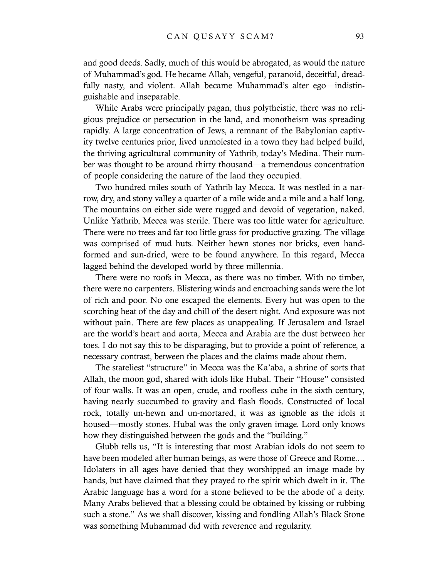and good deeds. Sadly, much of this would be abrogated, as would the nature of Muhammad's god. He became Allah, vengeful, paranoid, deceitful, dreadfully nasty, and violent. Allah became Muhammad's alter ego—indistinguishable and inseparable.

While Arabs were principally pagan, thus polytheistic, there was no religious prejudice or persecution in the land, and monotheism was spreading rapidly. A large concentration of Jews, a remnant of the Babylonian captivity twelve centuries prior, lived unmolested in a town they had helped build, the thriving agricultural community of Yathrib, today's Medina. Their number was thought to be around thirty thousand—a tremendous concentration of people considering the nature of the land they occupied.

Two hundred miles south of Yathrib lay Mecca. It was nestled in a narrow, dry, and stony valley a quarter of a mile wide and a mile and a half long. The mountains on either side were rugged and devoid of vegetation, naked. Unlike Yathrib, Mecca was sterile. There was too little water for agriculture. There were no trees and far too little grass for productive grazing. The village was comprised of mud huts. Neither hewn stones nor bricks, even handformed and sun-dried, were to be found anywhere. In this regard, Mecca lagged behind the developed world by three millennia.

There were no roofs in Mecca, as there was no timber. With no timber, there were no carpenters. Blistering winds and encroaching sands were the lot of rich and poor. No one escaped the elements. Every hut was open to the scorching heat of the day and chill of the desert night. And exposure was not without pain. There are few places as unappealing. If Jerusalem and Israel are the world's heart and aorta, Mecca and Arabia are the dust between her toes. I do not say this to be disparaging, but to provide a point of reference, a necessary contrast, between the places and the claims made about them.

The stateliest "structure" in Mecca was the Ka'aba, a shrine of sorts that Allah, the moon god, shared with idols like Hubal. Their "House" consisted of four walls. It was an open, crude, and roofless cube in the sixth century, having nearly succumbed to gravity and flash floods. Constructed of local rock, totally un-hewn and un-mortared, it was as ignoble as the idols it housed—mostly stones. Hubal was the only graven image. Lord only knows how they distinguished between the gods and the "building."

Glubb tells us, "It is interesting that most Arabian idols do not seem to have been modeled after human beings, as were those of Greece and Rome.... Idolaters in all ages have denied that they worshipped an image made by hands, but have claimed that they prayed to the spirit which dwelt in it. The Arabic language has a word for a stone believed to be the abode of a deity. Many Arabs believed that a blessing could be obtained by kissing or rubbing such a stone." As we shall discover, kissing and fondling Allah's Black Stone was something Muhammad did with reverence and regularity.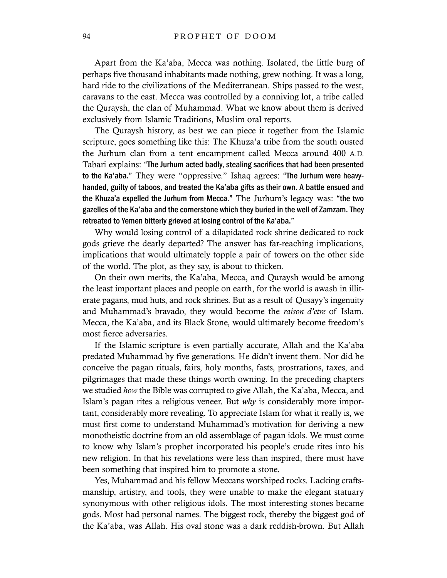Apart from the Ka'aba, Mecca was nothing. Isolated, the little burg of perhaps five thousand inhabitants made nothing, grew nothing. It was a long, hard ride to the civilizations of the Mediterranean. Ships passed to the west, caravans to the east. Mecca was controlled by a conniving lot, a tribe called the Quraysh, the clan of Muhammad. What we know about them is derived exclusively from Islamic Traditions, Muslim oral reports.

The Quraysh history, as best we can piece it together from the Islamic scripture, goes something like this: The Khuza'a tribe from the south ousted the Jurhum clan from a tent encampment called Mecca around 400 A.D. Tabari explains: "The Jurhum acted badly, stealing sacrifices that had been presented to the Ka'aba." They were "oppressive." Ishaq agrees: "The Jurhum were heavyhanded, guilty of taboos, and treated the Ka'aba gifts as their own. A battle ensued and the Khuza'a expelled the Jurhum from Mecca." The Jurhum's legacy was: "the two gazelles of the Ka'aba and the cornerstone which they buried in the well of Zamzam. They retreated to Yemen bitterly grieved at losing control of the Ka'aba."

Why would losing control of a dilapidated rock shrine dedicated to rock gods grieve the dearly departed? The answer has far-reaching implications, implications that would ultimately topple a pair of towers on the other side of the world. The plot, as they say, is about to thicken.

On their own merits, the Ka'aba, Mecca, and Quraysh would be among the least important places and people on earth, for the world is awash in illiterate pagans, mud huts, and rock shrines. But as a result of Qusayy's ingenuity and Muhammad's bravado, they would become the *raison d'etre* of Islam. Mecca, the Ka'aba, and its Black Stone, would ultimately become freedom's most fierce adversaries.

If the Islamic scripture is even partially accurate, Allah and the Ka'aba predated Muhammad by five generations. He didn't invent them. Nor did he conceive the pagan rituals, fairs, holy months, fasts, prostrations, taxes, and pilgrimages that made these things worth owning. In the preceding chapters we studied *how* the Bible was corrupted to give Allah, the Ka'aba, Mecca, and Islam's pagan rites a religious veneer. But *why* is considerably more important, considerably more revealing. To appreciate Islam for what it really is, we must first come to understand Muhammad's motivation for deriving a new monotheistic doctrine from an old assemblage of pagan idols. We must come to know why Islam's prophet incorporated his people's crude rites into his new religion. In that his revelations were less than inspired, there must have been something that inspired him to promote a stone.

Yes, Muhammad and his fellow Meccans worshiped rocks. Lacking craftsmanship, artistry, and tools, they were unable to make the elegant statuary synonymous with other religious idols. The most interesting stones became gods. Most had personal names. The biggest rock, thereby the biggest god of the Ka'aba, was Allah. His oval stone was a dark reddish-brown. But Allah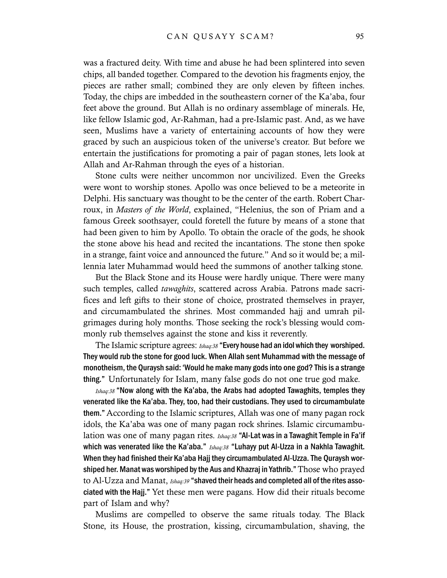was a fractured deity. With time and abuse he had been splintered into seven chips, all banded together. Compared to the devotion his fragments enjoy, the pieces are rather small; combined they are only eleven by fifteen inches. Today, the chips are imbedded in the southeastern corner of the Ka'aba, four feet above the ground. But Allah is no ordinary assemblage of minerals. He, like fellow Islamic god, Ar-Rahman, had a pre-Islamic past. And, as we have seen, Muslims have a variety of entertaining accounts of how they were graced by such an auspicious token of the universe's creator. But before we entertain the justifications for promoting a pair of pagan stones, lets look at Allah and Ar-Rahman through the eyes of a historian.

Stone cults were neither uncommon nor uncivilized. Even the Greeks were wont to worship stones. Apollo was once believed to be a meteorite in Delphi. His sanctuary was thought to be the center of the earth. Robert Charroux, in *Masters of the World*, explained, "Helenius, the son of Priam and a famous Greek soothsayer, could foretell the future by means of a stone that had been given to him by Apollo. To obtain the oracle of the gods, he shook the stone above his head and recited the incantations. The stone then spoke in a strange, faint voice and announced the future." And so it would be; a millennia later Muhammad would heed the summons of another talking stone.

But the Black Stone and its House were hardly unique. There were many such temples, called *tawaghits*, scattered across Arabia. Patrons made sacrifices and left gifts to their stone of choice, prostrated themselves in prayer, and circumambulated the shrines. Most commanded hajj and umrah pilgrimages during holy months. Those seeking the rock's blessing would commonly rub themselves against the stone and kiss it reverently.

The Islamic scripture agrees: *Ishaq:38* "Every house had an idol which they worshiped. They would rub the stone for good luck. When Allah sent Muhammad with the message of monotheism, the Quraysh said: 'Would he make many gods into one god? This is a strange thing." Unfortunately for Islam, many false gods do not one true god make.

*Ishaq:38* "Now along with the Ka'aba, the Arabs had adopted Tawaghits, temples they venerated like the Ka'aba. They, too, had their custodians. They used to circumambulate them." According to the Islamic scriptures, Allah was one of many pagan rock idols, the Ka'aba was one of many pagan rock shrines. Islamic circumambulation was one of many pagan rites. *Ishaq:38* "Al-Lat was in a Tawaghit Temple in Fa'if which was venerated like the Ka'aba." *Ishaq:38* "Luhayy put Al-Uzza in a Nakhla Tawaghit. When they had finished their Ka'aba Hajj they circumambulated Al-Uzza. The Quraysh worshiped her. Manat was worshiped by the Aus and Khazraj in Yathrib." Those who prayed to Al-Uzza and Manat, *Ishaq:39* "shaved their heads and completed all of the rites associated with the Hajj." Yet these men were pagans. How did their rituals become part of Islam and why?

Muslims are compelled to observe the same rituals today. The Black Stone, its House, the prostration, kissing, circumambulation, shaving, the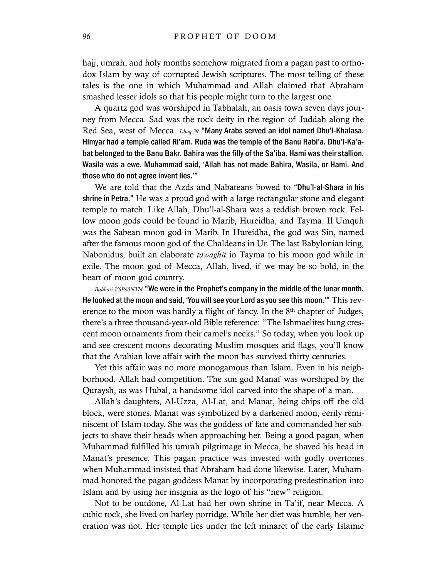hajj, umrah, and holy months somehow migrated from a pagan past to orthodox Islam by way of corrupted Jewish scriptures. The most telling of these tales is the one in which Muhammad and Allah claimed that Abraham smashed lesser idols so that his people might turn to the largest one.

A quartz god was worshiped in Tabhalah, an oasis town seven days journey from Mecca. Sad was the rock deity in the region of Juddah along the Red Sea, west of Mecca. *Ishaq:39* "Many Arabs served an idol named Dhu'l-Khalasa. Himyar had a temple called Ri'am. Ruda was the temple of the Banu Rabi'a. Dhu'l-Ka'abat belonged to the Banu Bakr. Bahira was the filly of the Sa'iba. Hami was their stallion. Wasila was a ewe. Muhammad said, 'Allah has not made Bahira, Wasila, or Hami. And those who do not agree invent lies.'"

We are told that the Azds and Nabateans bowed to "Dhu'l-al-Shara in his shrine in Petra." He was a proud god with a large rectangular stone and elegant temple to match. Like Allah, Dhu'l-al-Shara was a reddish brown rock. Fellow moon gods could be found in Marib, Hureidha, and Tayma. Il Umquh was the Sabean moon god in Marib. In Hureidha, the god was Sin, named after the famous moon god of the Chaldeans in Ur. The last Babylonian king, Nabonidus, built an elaborate *tawaghit* in Tayma to his moon god while in exile. The moon god of Mecca, Allah, lived, if we may be so bold, in the heart of moon god country.

*Bukhari:V6B60N374* "We were in the Prophet's company in the middle of the lunar month. He looked at the moon and said, 'You will see your Lord as you see this moon.'" This reverence to the moon was hardly a flight of fancy. In the 8th chapter of Judges, there's a three thousand-year-old Bible reference: "The Ishmaelites hung crescent moon ornaments from their camel's necks." So today, when you look up and see crescent moons decorating Muslim mosques and flags, you'll know that the Arabian love affair with the moon has survived thirty centuries.

Yet this affair was no more monogamous than Islam. Even in his neighborhood, Allah had competition. The sun god Manaf was worshiped by the Quraysh, as was Hubal, a handsome idol carved into the shape of a man.

Allah's daughters, Al-Uzza, Al-Lat, and Manat, being chips off the old block, were stones. Manat was symbolized by a darkened moon, eerily reminiscent of Islam today. She was the goddess of fate and commanded her subjects to shave their heads when approaching her. Being a good pagan, when Muhammad fulfilled his umrah pilgrimage in Mecca, he shaved his head in Manat's presence. This pagan practice was invested with godly overtones when Muhammad insisted that Abraham had done likewise. Later, Muhammad honored the pagan goddess Manat by incorporating predestination into Islam and by using her insignia as the logo of his "new" religion.

Not to be outdone, Al-Lat had her own shrine in Ta'if, near Mecca. A cubic rock, she lived on barley porridge. While her diet was humble, her veneration was not. Her temple lies under the left minaret of the early Islamic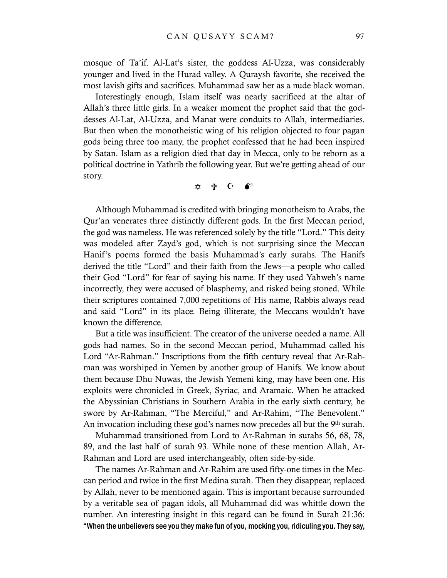mosque of Ta'if. Al-Lat's sister, the goddess Al-Uzza, was considerably younger and lived in the Hurad valley. A Quraysh favorite, she received the most lavish gifts and sacrifices. Muhammad saw her as a nude black woman.

Interestingly enough, Islam itself was nearly sacrificed at the altar of Allah's three little girls. In a weaker moment the prophet said that the goddesses Al-Lat, Al-Uzza, and Manat were conduits to Allah, intermediaries. But then when the monotheistic wing of his religion objected to four pagan gods being three too many, the prophet confessed that he had been inspired by Satan. Islam as a religion died that day in Mecca, only to be reborn as a political doctrine in Yathrib the following year. But we're getting ahead of our story.

## @ = A 0

Although Muhammad is credited with bringing monotheism to Arabs, the Qur'an venerates three distinctly different gods. In the first Meccan period, the god was nameless. He was referenced solely by the title "Lord." This deity was modeled after Zayd's god, which is not surprising since the Meccan Hanif's poems formed the basis Muhammad's early surahs. The Hanifs derived the title "Lord" and their faith from the Jews—a people who called their God "Lord" for fear of saying his name. If they used Yahweh's name incorrectly, they were accused of blasphemy, and risked being stoned. While their scriptures contained 7,000 repetitions of His name, Rabbis always read and said "Lord" in its place. Being illiterate, the Meccans wouldn't have known the difference.

But a title was insufficient. The creator of the universe needed a name. All gods had names. So in the second Meccan period, Muhammad called his Lord "Ar-Rahman." Inscriptions from the fifth century reveal that Ar-Rahman was worshiped in Yemen by another group of Hanifs. We know about them because Dhu Nuwas, the Jewish Yemeni king, may have been one. His exploits were chronicled in Greek, Syriac, and Aramaic. When he attacked the Abyssinian Christians in Southern Arabia in the early sixth century, he swore by Ar-Rahman, "The Merciful," and Ar-Rahim, "The Benevolent." An invocation including these god's names now precedes all but the 9<sup>th</sup> surah.

Muhammad transitioned from Lord to Ar-Rahman in surahs 56, 68, 78, 89, and the last half of surah 93. While none of these mention Allah, Ar-Rahman and Lord are used interchangeably, often side-by-side.

The names Ar-Rahman and Ar-Rahim are used fifty-one times in the Meccan period and twice in the first Medina surah. Then they disappear, replaced by Allah, never to be mentioned again. This is important because surrounded by a veritable sea of pagan idols, all Muhammad did was whittle down the number. An interesting insight in this regard can be found in Surah 21:36: "When the unbelievers see you they make fun of you, mocking you, ridiculing you. They say,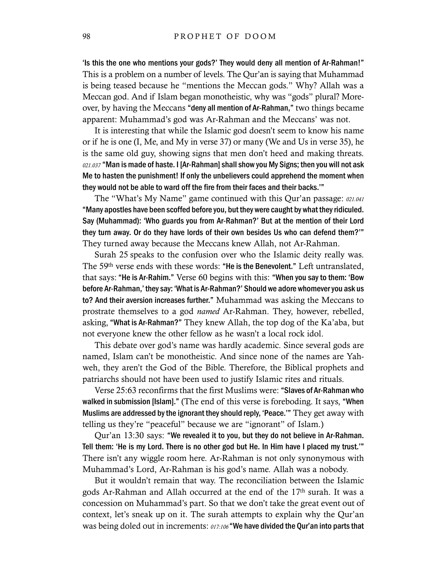'Is this the one who mentions your gods?' They would deny all mention of Ar-Rahman!" This is a problem on a number of levels. The Qur'an is saying that Muhammad is being teased because he "mentions the Meccan gods." Why? Allah was a Meccan god. And if Islam began monotheistic, why was "gods" plural? Moreover, by having the Meccans "deny all mention of Ar-Rahman," two things became apparent: Muhammad's god was Ar-Rahman and the Meccans' was not.

It is interesting that while the Islamic god doesn't seem to know his name or if he is one (I, Me, and My in verse 37) or many (We and Us in verse 35), he is the same old guy, showing signs that men don't heed and making threats. *021.037* "Man is made of haste. I [Ar-Rahman] shall show you My Signs; then you will not ask Me to hasten the punishment! If only the unbelievers could apprehend the moment when they would not be able to ward off the fire from their faces and their backs.'"

The "What's My Name" game continued with this Qur'an passage: *021.041* "Many apostles have been scoffed before you, but they were caught by what they ridiculed. Say (Muhammad): 'Who guards you from Ar-Rahman?' But at the mention of their Lord they turn away. Or do they have lords of their own besides Us who can defend them?'" They turned away because the Meccans knew Allah, not Ar-Rahman.

Surah 25 speaks to the confusion over who the Islamic deity really was. The 59th verse ends with these words: "He is the Benevolent." Left untranslated, that says: "He is Ar-Rahim." Verse 60 begins with this: "When you say to them: 'Bow before Ar-Rahman,' they say: 'What is Ar-Rahman?' Should we adore whomever you ask us to? And their aversion increases further." Muhammad was asking the Meccans to prostrate themselves to a god *named* Ar-Rahman. They, however, rebelled, asking, "What is Ar-Rahman?" They knew Allah, the top dog of the Ka'aba, but not everyone knew the other fellow as he wasn't a local rock idol.

This debate over god's name was hardly academic. Since several gods are named, Islam can't be monotheistic. And since none of the names are Yahweh, they aren't the God of the Bible. Therefore, the Biblical prophets and patriarchs should not have been used to justify Islamic rites and rituals.

Verse 25:63 reconfirms that the first Muslims were: "Slaves of Ar-Rahman who walked in submission [Islam]." (The end of this verse is foreboding. It says, "When Muslims are addressed by the ignorant they should reply, 'Peace.'" They get away with telling us they're "peaceful" because we are "ignorant" of Islam.)

Qur'an 13:30 says: "We revealed it to you, but they do not believe in Ar-Rahman. Tell them: 'He is my Lord. There is no other god but He. In Him have I placed my trust.'" There isn't any wiggle room here. Ar-Rahman is not only synonymous with Muhammad's Lord, Ar-Rahman is his god's name. Allah was a nobody.

But it wouldn't remain that way. The reconciliation between the Islamic gods Ar-Rahman and Allah occurred at the end of the 17<sup>th</sup> surah. It was a concession on Muhammad's part. So that we don't take the great event out of context, let's sneak up on it. The surah attempts to explain why the Qur'an was being doled out in increments: *017:106* "We have divided the Qur'an into parts that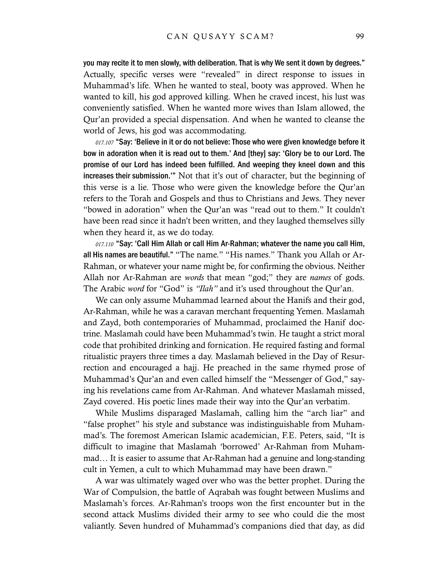you may recite it to men slowly, with deliberation. That is why We sent it down by degrees." Actually, specific verses were "revealed" in direct response to issues in Muhammad's life. When he wanted to steal, booty was approved. When he wanted to kill, his god approved killing. When he craved incest, his lust was conveniently satisfied. When he wanted more wives than Islam allowed, the Qur'an provided a special dispensation. And when he wanted to cleanse the world of Jews, his god was accommodating.

*017.107* "Say: 'Believe in it or do not believe: Those who were given knowledge before it bow in adoration when it is read out to them.' And [they] say: 'Glory be to our Lord. The promise of our Lord has indeed been fulfilled. And weeping they kneel down and this increases their submission.'" Not that it's out of character, but the beginning of this verse is a lie. Those who were given the knowledge before the Qur'an refers to the Torah and Gospels and thus to Christians and Jews. They never "bowed in adoration" when the Qur'an was "read out to them." It couldn't have been read since it hadn't been written, and they laughed themselves silly when they heard it, as we do today.

*017.110* "Say: 'Call Him Allah or call Him Ar-Rahman; whatever the name you call Him, all His names are beautiful." "The name." "His names." Thank you Allah or Ar-Rahman, or whatever your name might be, for confirming the obvious. Neither Allah nor Ar-Rahman are *words* that mean "god;" they are *names* of gods. The Arabic *word* for "God" is *"Ilah"* and it's used throughout the Qur'an.

We can only assume Muhammad learned about the Hanifs and their god, Ar-Rahman, while he was a caravan merchant frequenting Yemen. Maslamah and Zayd, both contemporaries of Muhammad, proclaimed the Hanif doctrine. Maslamah could have been Muhammad's twin. He taught a strict moral code that prohibited drinking and fornication. He required fasting and formal ritualistic prayers three times a day. Maslamah believed in the Day of Resurrection and encouraged a hajj. He preached in the same rhymed prose of Muhammad's Qur'an and even called himself the "Messenger of God," saying his revelations came from Ar-Rahman. And whatever Maslamah missed, Zayd covered. His poetic lines made their way into the Qur'an verbatim.

While Muslims disparaged Maslamah, calling him the "arch liar" and "false prophet" his style and substance was indistinguishable from Muhammad's. The foremost American Islamic academician, F.E. Peters, said, "It is difficult to imagine that Maslamah 'borrowed' Ar-Rahman from Muhammad… It is easier to assume that Ar-Rahman had a genuine and long-standing cult in Yemen, a cult to which Muhammad may have been drawn."

A war was ultimately waged over who was the better prophet. During the War of Compulsion, the battle of Aqrabah was fought between Muslims and Maslamah's forces. Ar-Rahman's troops won the first encounter but in the second attack Muslims divided their army to see who could die the most valiantly. Seven hundred of Muhammad's companions died that day, as did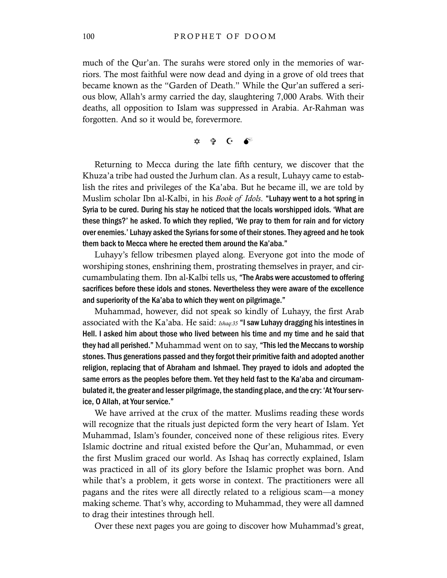much of the Qur'an. The surahs were stored only in the memories of warriors. The most faithful were now dead and dying in a grove of old trees that became known as the "Garden of Death." While the Qur'an suffered a serious blow, Allah's army carried the day, slaughtering 7,000 Arabs. With their deaths, all opposition to Islam was suppressed in Arabia. Ar-Rahman was forgotten. And so it would be, forevermore.

@ = A 0

Returning to Mecca during the late fifth century, we discover that the Khuza'a tribe had ousted the Jurhum clan. As a result, Luhayy came to establish the rites and privileges of the Ka'aba. But he became ill, we are told by Muslim scholar Ibn al-Kalbi, in his *Book of Idols*. "Luhayy went to a hot spring in Syria to be cured. During his stay he noticed that the locals worshipped idols. 'What are these things?' he asked. To which they replied, 'We pray to them for rain and for victory over enemies.' Luhayy asked the Syrians for some of their stones. They agreed and he took them back to Mecca where he erected them around the Ka'aba."

Luhayy's fellow tribesmen played along. Everyone got into the mode of worshiping stones, enshrining them, prostrating themselves in prayer, and circumambulating them. Ibn al-Kalbi tells us, "The Arabs were accustomed to offering sacrifices before these idols and stones. Nevertheless they were aware of the excellence and superiority of the Ka'aba to which they went on pilgrimage."

Muhammad, however, did not speak so kindly of Luhayy, the first Arab associated with the Ka'aba. He said: *Ishaq:35* "I saw Luhayy dragging his intestines in Hell. I asked him about those who lived between his time and my time and he said that they had all perished." Muhammad went on to say, "This led the Meccans to worship stones. Thus generations passed and they forgot their primitive faith and adopted another religion, replacing that of Abraham and Ishmael. They prayed to idols and adopted the same errors as the peoples before them. Yet they held fast to the Ka'aba and circumambulated it, the greater and lesser pilgrimage, the standing place, and the cry: 'At Your service, O Allah, at Your service."

We have arrived at the crux of the matter. Muslims reading these words will recognize that the rituals just depicted form the very heart of Islam. Yet Muhammad, Islam's founder, conceived none of these religious rites. Every Islamic doctrine and ritual existed before the Qur'an, Muhammad, or even the first Muslim graced our world. As Ishaq has correctly explained, Islam was practiced in all of its glory before the Islamic prophet was born. And while that's a problem, it gets worse in context. The practitioners were all pagans and the rites were all directly related to a religious scam—a money making scheme. That's why, according to Muhammad, they were all damned to drag their intestines through hell.

Over these next pages you are going to discover how Muhammad's great,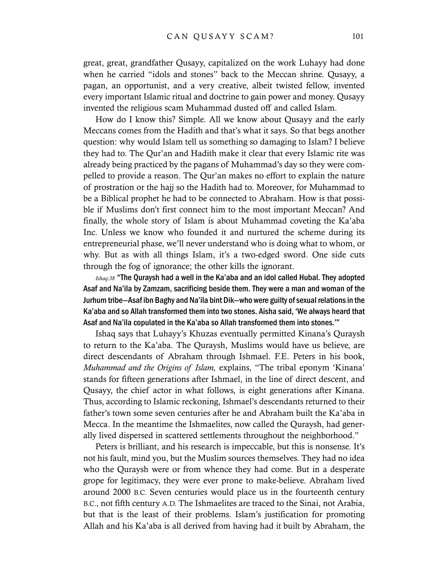great, great, grandfather Qusayy, capitalized on the work Luhayy had done when he carried "idols and stones" back to the Meccan shrine. Qusayy, a pagan, an opportunist, and a very creative, albeit twisted fellow, invented every important Islamic ritual and doctrine to gain power and money. Qusayy invented the religious scam Muhammad dusted off and called Islam.

How do I know this? Simple. All we know about Qusayy and the early Meccans comes from the Hadith and that's what it says. So that begs another question: why would Islam tell us something so damaging to Islam? I believe they had to. The Qur'an and Hadith make it clear that every Islamic rite was already being practiced by the pagans of Muhammad's day so they were compelled to provide a reason. The Qur'an makes no effort to explain the nature of prostration or the hajj so the Hadith had to. Moreover, for Muhammad to be a Biblical prophet he had to be connected to Abraham. How is that possible if Muslims don't first connect him to the most important Meccan? And finally, the whole story of Islam is about Muhammad coveting the Ka'aba Inc. Unless we know who founded it and nurtured the scheme during its entrepreneurial phase, we'll never understand who is doing what to whom, or why. But as with all things Islam, it's a two-edged sword. One side cuts through the fog of ignorance; the other kills the ignorant.

*Ishaq:38* "The Quraysh had a well in the Ka'aba and an idol called Hubal. They adopted Asaf and Na'ila by Zamzam, sacrificing beside them. They were a man and woman of the Jurhum tribe—Asaf ibn Baghy and Na'ila bint Dik—who were guilty of sexual relations in the Ka'aba and so Allah transformed them into two stones. Aisha said, 'We always heard that Asaf and Na'ila copulated in the Ka'aba so Allah transformed them into stones.'"

Ishaq says that Luhayy's Khuzas eventually permitted Kinana's Quraysh to return to the Ka'aba. The Quraysh, Muslims would have us believe, are direct descendants of Abraham through Ishmael. F.E. Peters in his book, *Muhammad and the Origins of Islam,* explains, "The tribal eponym 'Kinana' stands for fifteen generations after Ishmael, in the line of direct descent, and Qusayy, the chief actor in what follows, is eight generations after Kinana. Thus, according to Islamic reckoning, Ishmael's descendants returned to their father's town some seven centuries after he and Abraham built the Ka'aba in Mecca. In the meantime the Ishmaelites, now called the Quraysh, had generally lived dispersed in scattered settlements throughout the neighborhood."

Peters is brilliant, and his research is impeccable, but this is nonsense. It's not his fault, mind you, but the Muslim sources themselves. They had no idea who the Quraysh were or from whence they had come. But in a desperate grope for legitimacy, they were ever prone to make-believe. Abraham lived around 2000 B.C. Seven centuries would place us in the fourteenth century B.C., not fifth century A.D. The Ishmaelites are traced to the Sinai, not Arabia, but that is the least of their problems. Islam's justification for promoting Allah and his Ka'aba is all derived from having had it built by Abraham, the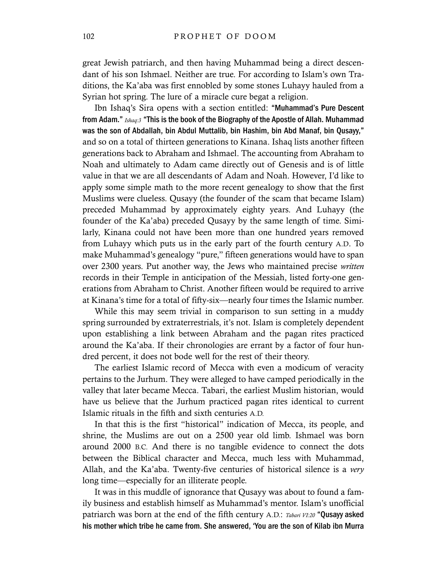great Jewish patriarch, and then having Muhammad being a direct descendant of his son Ishmael. Neither are true. For according to Islam's own Traditions, the Ka'aba was first ennobled by some stones Luhayy hauled from a Syrian hot spring. The lure of a miracle cure begat a religion.

Ibn Ishaq's Sira opens with a section entitled: "Muhammad's Pure Descent from Adam." *Ishaq:3* "This is the book of the Biography of the Apostle of Allah. Muhammad was the son of Abdallah, bin Abdul Muttalib, bin Hashim, bin Abd Manaf, bin Qusayy," and so on a total of thirteen generations to Kinana. Ishaq lists another fifteen generations back to Abraham and Ishmael. The accounting from Abraham to Noah and ultimately to Adam came directly out of Genesis and is of little value in that we are all descendants of Adam and Noah. However, I'd like to apply some simple math to the more recent genealogy to show that the first Muslims were clueless. Qusayy (the founder of the scam that became Islam) preceded Muhammad by approximately eighty years. And Luhayy (the founder of the Ka'aba) preceded Qusayy by the same length of time. Similarly, Kinana could not have been more than one hundred years removed from Luhayy which puts us in the early part of the fourth century A.D. To make Muhammad's genealogy "pure," fifteen generations would have to span over 2300 years. Put another way, the Jews who maintained precise *written* records in their Temple in anticipation of the Messiah, listed forty-one generations from Abraham to Christ. Another fifteen would be required to arrive at Kinana's time for a total of fifty-six—nearly four times the Islamic number.

While this may seem trivial in comparison to sun setting in a muddy spring surrounded by extraterrestrials, it's not. Islam is completely dependent upon establishing a link between Abraham and the pagan rites practiced around the Ka'aba. If their chronologies are errant by a factor of four hundred percent, it does not bode well for the rest of their theory.

The earliest Islamic record of Mecca with even a modicum of veracity pertains to the Jurhum. They were alleged to have camped periodically in the valley that later became Mecca. Tabari, the earliest Muslim historian, would have us believe that the Jurhum practiced pagan rites identical to current Islamic rituals in the fifth and sixth centuries A.D.

In that this is the first "historical" indication of Mecca, its people, and shrine, the Muslims are out on a 2500 year old limb. Ishmael was born around 2000 B.C. And there is no tangible evidence to connect the dots between the Biblical character and Mecca, much less with Muhammad, Allah, and the Ka'aba. Twenty-five centuries of historical silence is a *very* long time—especially for an illiterate people.

It was in this muddle of ignorance that Qusayy was about to found a family business and establish himself as Muhammad's mentor. Islam's unofficial patriarch was born at the end of the fifth century A.D.: *Tabari VI:20* "Qusayy asked his mother which tribe he came from. She answered, 'You are the son of Kilab ibn Murra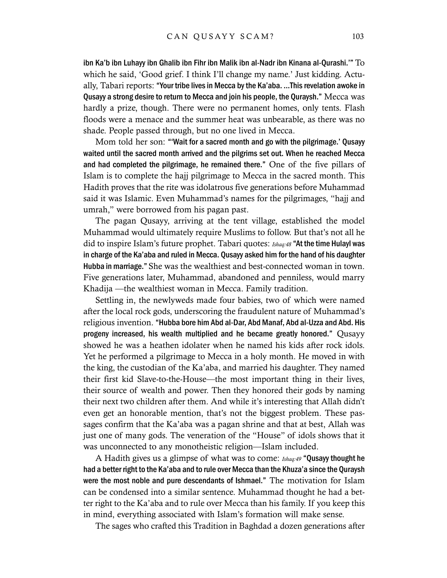ibn Ka'b ibn Luhayy ibn Ghalib ibn Fihr ibn Malik ibn al-Nadr ibn Kinana al-Qurashi.'" To which he said, 'Good grief. I think I'll change my name.' Just kidding. Actually, Tabari reports: "Your tribe lives in Mecca by the Ka'aba. …This revelation awoke in Qusayy a strong desire to return to Mecca and join his people, the Quraysh." Mecca was hardly a prize, though. There were no permanent homes, only tents. Flash floods were a menace and the summer heat was unbearable, as there was no shade. People passed through, but no one lived in Mecca.

Mom told her son: "'Wait for a sacred month and go with the pilgrimage.' Qusayy waited until the sacred month arrived and the pilgrims set out. When he reached Mecca and had completed the pilgrimage, he remained there." One of the five pillars of Islam is to complete the hajj pilgrimage to Mecca in the sacred month. This Hadith proves that the rite was idolatrous five generations before Muhammad said it was Islamic. Even Muhammad's names for the pilgrimages, "hajj and umrah," were borrowed from his pagan past.

The pagan Qusayy, arriving at the tent village, established the model Muhammad would ultimately require Muslims to follow. But that's not all he did to inspire Islam's future prophet. Tabari quotes: *Ishaq:48* "At the time Hulayl was in charge of the Ka'aba and ruled in Mecca. Qusayy asked him for the hand of his daughter Hubba in marriage." She was the wealthiest and best-connected woman in town. Five generations later, Muhammad, abandoned and penniless, would marry Khadija —the wealthiest woman in Mecca. Family tradition.

Settling in, the newlyweds made four babies, two of which were named after the local rock gods, underscoring the fraudulent nature of Muhammad's religious invention. "Hubba bore him Abd al-Dar, Abd Manaf, Abd al-Uzza and Abd. His progeny increased, his wealth multiplied and he became greatly honored." Qusayy showed he was a heathen idolater when he named his kids after rock idols. Yet he performed a pilgrimage to Mecca in a holy month. He moved in with the king, the custodian of the Ka'aba, and married his daughter. They named their first kid Slave-to-the-House—the most important thing in their lives, their source of wealth and power. Then they honored their gods by naming their next two children after them. And while it's interesting that Allah didn't even get an honorable mention, that's not the biggest problem. These passages confirm that the Ka'aba was a pagan shrine and that at best, Allah was just one of many gods. The veneration of the "House" of idols shows that it was unconnected to any monotheistic religion—Islam included.

A Hadith gives us a glimpse of what was to come: *Ishaq:49* "Qusayy thought he had a better right to the Ka'aba and to rule over Mecca than the Khuza'a since the Quraysh were the most noble and pure descendants of Ishmael." The motivation for Islam can be condensed into a similar sentence. Muhammad thought he had a better right to the Ka'aba and to rule over Mecca than his family. If you keep this in mind, everything associated with Islam's formation will make sense.

The sages who crafted this Tradition in Baghdad a dozen generations after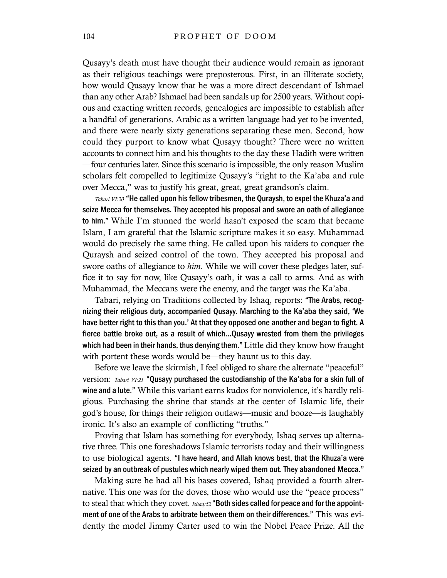Qusayy's death must have thought their audience would remain as ignorant as their religious teachings were preposterous. First, in an illiterate society, how would Qusayy know that he was a more direct descendant of Ishmael than any other Arab? Ishmael had been sandals up for 2500 years. Without copious and exacting written records, genealogies are impossible to establish after a handful of generations. Arabic as a written language had yet to be invented, and there were nearly sixty generations separating these men. Second, how could they purport to know what Qusayy thought? There were no written accounts to connect him and his thoughts to the day these Hadith were written —four centuries later. Since this scenario is impossible, the only reason Muslim scholars felt compelled to legitimize Qusayy's "right to the Ka'aba and rule over Mecca," was to justify his great, great, great grandson's claim.

*Tabari VI:20* "He called upon his fellow tribesmen, the Quraysh, to expel the Khuza'a and seize Mecca for themselves. They accepted his proposal and swore an oath of allegiance to him." While I'm stunned the world hasn't exposed the scam that became Islam, I am grateful that the Islamic scripture makes it so easy. Muhammad would do precisely the same thing. He called upon his raiders to conquer the Quraysh and seized control of the town. They accepted his proposal and swore oaths of allegiance to *him*. While we will cover these pledges later, suffice it to say for now, like Qusayy's oath, it was a call to arms. And as with Muhammad, the Meccans were the enemy, and the target was the Ka'aba.

Tabari, relying on Traditions collected by Ishaq, reports: "The Arabs, recognizing their religious duty, accompanied Qusayy. Marching to the Ka'aba they said, 'We have better right to this than you.' At that they opposed one another and began to fight. A fierce battle broke out, as a result of which…Qusayy wrested from them the privileges which had been in their hands, thus denying them." Little did they know how fraught with portent these words would be—they haunt us to this day.

Before we leave the skirmish, I feel obliged to share the alternate "peaceful" version: *Tabari VI:21* "Qusayy purchased the custodianship of the Ka'aba for a skin full of wine and a lute." While this variant earns kudos for nonviolence, it's hardly religious. Purchasing the shrine that stands at the center of Islamic life, their god's house, for things their religion outlaws—music and booze—is laughably ironic. It's also an example of conflicting "truths."

Proving that Islam has something for everybody, Ishaq serves up alternative three. This one foreshadows Islamic terrorists today and their willingness to use biological agents. "I have heard, and Allah knows best, that the Khuza'a were seized by an outbreak of pustules which nearly wiped them out. They abandoned Mecca."

Making sure he had all his bases covered, Ishaq provided a fourth alternative. This one was for the doves, those who would use the "peace process" to steal that which they covet. *Ishaq:52* "Both sides called for peace and for the appointment of one of the Arabs to arbitrate between them on their differences." This was evidently the model Jimmy Carter used to win the Nobel Peace Prize. All the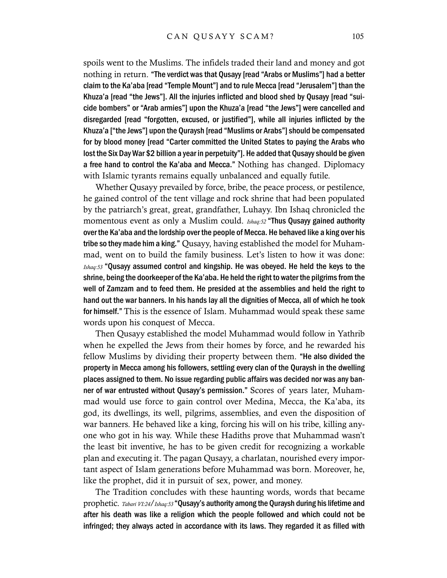spoils went to the Muslims. The infidels traded their land and money and got nothing in return. "The verdict was that Qusayy [read "Arabs or Muslims"] had a better claim to the Ka'aba [read "Temple Mount"] and to rule Mecca [read "Jerusalem"] than the Khuza'a [read "the Jews"]. All the injuries inflicted and blood shed by Qusayy [read "suicide bombers" or "Arab armies"] upon the Khuza'a [read "the Jews"] were cancelled and disregarded [read "forgotten, excused, or justified"], while all injuries inflicted by the Khuza'a ["the Jews"] upon the Quraysh [read "Muslims or Arabs"] should be compensated for by blood money [read "Carter committed the United States to paying the Arabs who lost the Six Day War \$2 billion a year in perpetuity"]. He added that Qusayy should be given a free hand to control the Ka'aba and Mecca." Nothing has changed. Diplomacy with Islamic tyrants remains equally unbalanced and equally futile.

Whether Qusayy prevailed by force, bribe, the peace process, or pestilence, he gained control of the tent village and rock shrine that had been populated by the patriarch's great, great, grandfather, Luhayy. Ibn Ishaq chronicled the momentous event as only a Muslim could. *Ishaq:52* "Thus Qusayy gained authority over the Ka'aba and the lordship over the people of Mecca. He behaved like a king over his tribe so they made him a king." Qusayy, having established the model for Muhammad, went on to build the family business. Let's listen to how it was done: *Ishaq:53* "Qusayy assumed control and kingship. He was obeyed. He held the keys to the shrine, being the doorkeeper of the Ka'aba. He held the right to water the pilgrims from the well of Zamzam and to feed them. He presided at the assemblies and held the right to hand out the war banners. In his hands lay all the dignities of Mecca, all of which he took for himself." This is the essence of Islam. Muhammad would speak these same words upon his conquest of Mecca.

Then Qusayy established the model Muhammad would follow in Yathrib when he expelled the Jews from their homes by force, and he rewarded his fellow Muslims by dividing their property between them. "He also divided the property in Mecca among his followers, settling every clan of the Quraysh in the dwelling places assigned to them. No issue regarding public affairs was decided nor was any banner of war entrusted without Qusayy's permission." Scores of years later, Muhammad would use force to gain control over Medina, Mecca, the Ka'aba, its god, its dwellings, its well, pilgrims, assemblies, and even the disposition of war banners. He behaved like a king, forcing his will on his tribe, killing anyone who got in his way. While these Hadiths prove that Muhammad wasn't the least bit inventive, he has to be given credit for recognizing a workable plan and executing it. The pagan Qusayy, a charlatan, nourished every important aspect of Islam generations before Muhammad was born. Moreover, he, like the prophet, did it in pursuit of sex, power, and money.

The Tradition concludes with these haunting words, words that became prophetic. *Tabari VI:24*/*Ishaq:53* "Qusayy's authority among the Quraysh during his lifetime and after his death was like a religion which the people followed and which could not be infringed; they always acted in accordance with its laws. They regarded it as filled with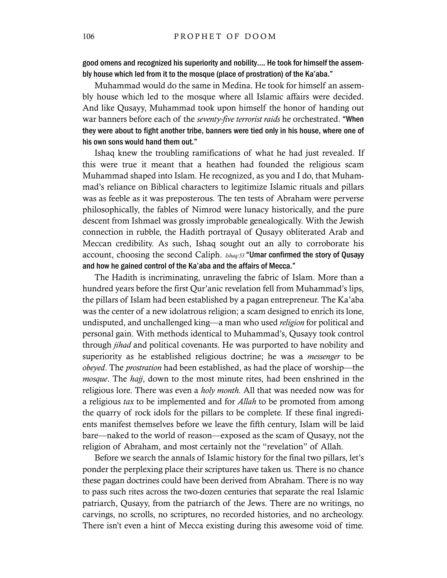good omens and recognized his superiority and nobility…. He took for himself the assembly house which led from it to the mosque (place of prostration) of the Ka'aba."

Muhammad would do the same in Medina. He took for himself an assembly house which led to the mosque where all Islamic affairs were decided. And like Qusayy, Muhammad took upon himself the honor of handing out war banners before each of the *seventy-five terrorist raids* he orchestrated. "When they were about to fight another tribe, banners were tied only in his house, where one of his own sons would hand them out."

Ishaq knew the troubling ramifications of what he had just revealed. If this were true it meant that a heathen had founded the religious scam Muhammad shaped into Islam. He recognized, as you and I do, that Muhammad's reliance on Biblical characters to legitimize Islamic rituals and pillars was as feeble as it was preposterous. The ten tests of Abraham were perverse philosophically, the fables of Nimrod were lunacy historically, and the pure descent from Ishmael was grossly improbable genealogically. With the Jewish connection in rubble, the Hadith portrayal of Qusayy obliterated Arab and Meccan credibility. As such, Ishaq sought out an ally to corroborate his account, choosing the second Caliph. *Ishaq:53* "Umar confirmed the story of Qusayy and how he gained control of the Ka'aba and the affairs of Mecca."

The Hadith is incriminating, unraveling the fabric of Islam. More than a hundred years before the first Qur'anic revelation fell from Muhammad's lips, the pillars of Islam had been established by a pagan entrepreneur. The Ka'aba was the center of a new idolatrous religion; a scam designed to enrich its lone, undisputed, and unchallenged king—a man who used *religion* for political and personal gain. With methods identical to Muhammad's, Qusayy took control through *jihad* and political covenants. He was purported to have nobility and superiority as he established religious doctrine; he was a *messenger* to be *obeyed*. The *prostration* had been established, as had the place of worship—the *mosque*. The *hajj*, down to the most minute rites, had been enshrined in the religious lore. There was even a *holy month.* All that was needed now was for a religious *tax* to be implemented and for *Allah* to be promoted from among the quarry of rock idols for the pillars to be complete. If these final ingredients manifest themselves before we leave the fifth century, Islam will be laid bare—naked to the world of reason—exposed as the scam of Qusayy, not the religion of Abraham, and most certainly not the "revelation" of Allah.

Before we search the annals of Islamic history for the final two pillars, let's ponder the perplexing place their scriptures have taken us. There is no chance these pagan doctrines could have been derived from Abraham. There is no way to pass such rites across the two-dozen centuries that separate the real Islamic patriarch, Qusayy, from the patriarch of the Jews. There are no writings, no carvings, no scrolls, no scriptures, no recorded histories, and no archeology. There isn't even a hint of Mecca existing during this awesome void of time.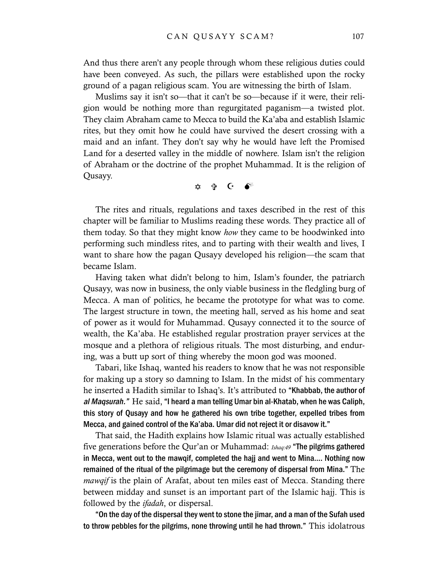And thus there aren't any people through whom these religious duties could have been conveyed. As such, the pillars were established upon the rocky ground of a pagan religious scam. You are witnessing the birth of Islam.

Muslims say it isn't so—that it can't be so—because if it were, their religion would be nothing more than regurgitated paganism—a twisted plot. They claim Abraham came to Mecca to build the Ka'aba and establish Islamic rites, but they omit how he could have survived the desert crossing with a maid and an infant. They don't say why he would have left the Promised Land for a deserted valley in the middle of nowhere. Islam isn't the religion of Abraham or the doctrine of the prophet Muhammad. It is the religion of Qusayy.

## **☆ ☆ ☆ ◆ ☆**

The rites and rituals, regulations and taxes described in the rest of this chapter will be familiar to Muslims reading these words. They practice all of them today. So that they might know *how* they came to be hoodwinked into performing such mindless rites, and to parting with their wealth and lives, I want to share how the pagan Qusayy developed his religion—the scam that became Islam.

Having taken what didn't belong to him, Islam's founder, the patriarch Qusayy, was now in business, the only viable business in the fledgling burg of Mecca. A man of politics, he became the prototype for what was to come. The largest structure in town, the meeting hall, served as his home and seat of power as it would for Muhammad. Qusayy connected it to the source of wealth, the Ka'aba. He established regular prostration prayer services at the mosque and a plethora of religious rituals. The most disturbing, and enduring, was a butt up sort of thing whereby the moon god was mooned.

Tabari, like Ishaq, wanted his readers to know that he was not responsible for making up a story so damning to Islam. In the midst of his commentary he inserted a Hadith similar to Ishaq's. It's attributed to "Khabbab, the author of al Maqsurah." He said, "I heard a man telling Umar bin al-Khatab, when he was Caliph, this story of Qusayy and how he gathered his own tribe together, expelled tribes from Mecca, and gained control of the Ka'aba. Umar did not reject it or disavow it."

That said, the Hadith explains how Islamic ritual was actually established five generations before the Qur'an or Muhammad: *Ishaq:49* "The pilgrims gathered in Mecca, went out to the mawqif, completed the hajj and went to Mina…. Nothing now remained of the ritual of the pilgrimage but the ceremony of dispersal from Mina." The *mawqif* is the plain of Arafat, about ten miles east of Mecca. Standing there between midday and sunset is an important part of the Islamic hajj. This is followed by the *ifadah*, or dispersal.

"On the day of the dispersal they went to stone the jimar, and a man of the Sufah used to throw pebbles for the pilgrims, none throwing until he had thrown." This idolatrous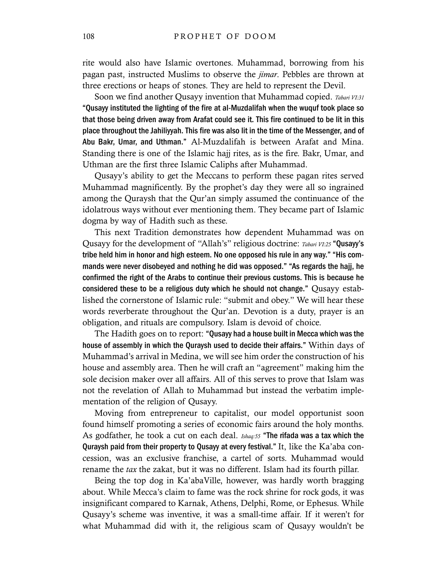rite would also have Islamic overtones. Muhammad, borrowing from his pagan past, instructed Muslims to observe the *jimar*. Pebbles are thrown at three erections or heaps of stones. They are held to represent the Devil.

Soon we find another Qusayy invention that Muhammad copied. *Tabari VI:31* "Qusayy instituted the lighting of the fire at al-Muzdalifah when the wuquf took place so that those being driven away from Arafat could see it. This fire continued to be lit in this place throughout the Jahiliyyah. This fire was also lit in the time of the Messenger, and of Abu Bakr, Umar, and Uthman." Al-Muzdalifah is between Arafat and Mina. Standing there is one of the Islamic hajj rites, as is the fire. Bakr, Umar, and Uthman are the first three Islamic Caliphs after Muhammad.

Qusayy's ability to get the Meccans to perform these pagan rites served Muhammad magnificently. By the prophet's day they were all so ingrained among the Quraysh that the Qur'an simply assumed the continuance of the idolatrous ways without ever mentioning them. They became part of Islamic dogma by way of Hadith such as these.

This next Tradition demonstrates how dependent Muhammad was on Qusayy for the development of "Allah's" religious doctrine: *Tabari VI:25* "Qusayy's tribe held him in honor and high esteem. No one opposed his rule in any way." "His commands were never disobeyed and nothing he did was opposed." "As regards the hajj, he confirmed the right of the Arabs to continue their previous customs. This is because he considered these to be a religious duty which he should not change." Qusayy established the cornerstone of Islamic rule: "submit and obey." We will hear these words reverberate throughout the Qur'an. Devotion is a duty, prayer is an obligation, and rituals are compulsory. Islam is devoid of choice.

The Hadith goes on to report: "Qusayy had a house built in Mecca which was the house of assembly in which the Quraysh used to decide their affairs." Within days of Muhammad's arrival in Medina, we will see him order the construction of his house and assembly area. Then he will craft an "agreement" making him the sole decision maker over all affairs. All of this serves to prove that Islam was not the revelation of Allah to Muhammad but instead the verbatim implementation of the religion of Qusayy.

Moving from entrepreneur to capitalist, our model opportunist soon found himself promoting a series of economic fairs around the holy months. As godfather, he took a cut on each deal. *Ishaq:55* "The rifada was a tax which the Quraysh paid from their property to Qusayy at every festival." It, like the Ka'aba concession, was an exclusive franchise, a cartel of sorts. Muhammad would rename the *tax* the zakat, but it was no different. Islam had its fourth pillar.

Being the top dog in Ka'abaVille, however, was hardly worth bragging about. While Mecca's claim to fame was the rock shrine for rock gods, it was insignificant compared to Karnak, Athens, Delphi, Rome, or Ephesus. While Qusayy's scheme was inventive, it was a small-time affair. If it weren't for what Muhammad did with it, the religious scam of Qusayy wouldn't be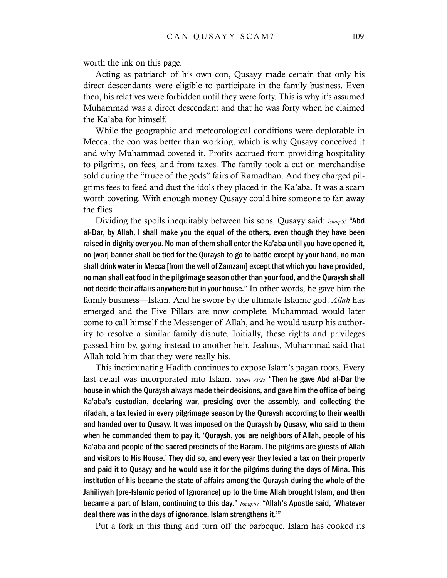worth the ink on this page.

Acting as patriarch of his own con, Qusayy made certain that only his direct descendants were eligible to participate in the family business. Even then, his relatives were forbidden until they were forty. This is why it's assumed Muhammad was a direct descendant and that he was forty when he claimed the Ka'aba for himself.

While the geographic and meteorological conditions were deplorable in Mecca, the con was better than working, which is why Qusayy conceived it and why Muhammad coveted it. Profits accrued from providing hospitality to pilgrims, on fees, and from taxes. The family took a cut on merchandise sold during the "truce of the gods" fairs of Ramadhan. And they charged pilgrims fees to feed and dust the idols they placed in the Ka'aba. It was a scam worth coveting. With enough money Qusayy could hire someone to fan away the flies.

Dividing the spoils inequitably between his sons, Qusayy said: *Ishaq:55* "Abd al-Dar, by Allah, I shall make you the equal of the others, even though they have been raised in dignity over you. No man of them shall enter the Ka'aba until you have opened it, no [war] banner shall be tied for the Quraysh to go to battle except by your hand, no man shall drink water in Mecca [from the well of Zamzam] except that which you have provided, no man shall eat food in the pilgrimage season other than your food, and the Quraysh shall not decide their affairs anywhere but in your house." In other words, he gave him the family business—Islam. And he swore by the ultimate Islamic god. *Allah* has emerged and the Five Pillars are now complete. Muhammad would later come to call himself the Messenger of Allah, and he would usurp his authority to resolve a similar family dispute. Initially, these rights and privileges passed him by, going instead to another heir. Jealous, Muhammad said that Allah told him that they were really his.

This incriminating Hadith continues to expose Islam's pagan roots. Every last detail was incorporated into Islam. *Tabari VI:25* "Then he gave Abd al-Dar the house in which the Quraysh always made their decisions, and gave him the office of being Ka'aba's custodian, declaring war, presiding over the assembly, and collecting the rifadah, a tax levied in every pilgrimage season by the Quraysh according to their wealth and handed over to Qusayy. It was imposed on the Quraysh by Qusayy, who said to them when he commanded them to pay it, 'Quraysh, you are neighbors of Allah, people of his Ka'aba and people of the sacred precincts of the Haram. The pilgrims are guests of Allah and visitors to His House.' They did so, and every year they levied a tax on their property and paid it to Qusayy and he would use it for the pilgrims during the days of Mina. This institution of his became the state of affairs among the Quraysh during the whole of the Jahiliyyah [pre-Islamic period of Ignorance] up to the time Allah brought Islam, and then became a part of Islam, continuing to this day." *Ishaq:57* "Allah's Apostle said, 'Whatever deal there was in the days of ignorance, Islam strengthens it.'"

Put a fork in this thing and turn off the barbeque. Islam has cooked its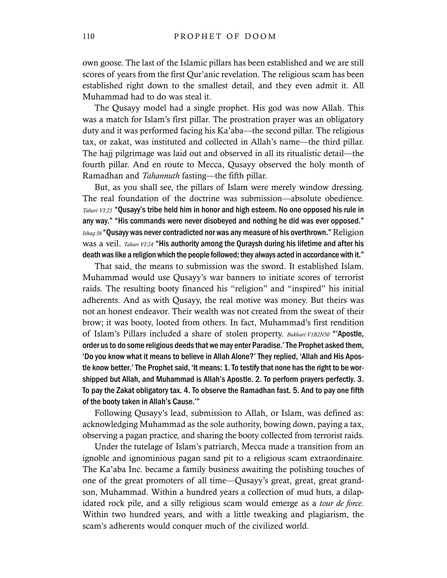own goose. The last of the Islamic pillars has been established and we are still scores of years from the first Qur'anic revelation. The religious scam has been established right down to the smallest detail, and they even admit it. All Muhammad had to do was steal it.

The Qusayy model had a single prophet. His god was now Allah. This was a match for Islam's first pillar. The prostration prayer was an obligatory duty and it was performed facing his Ka'aba—the second pillar. The religious tax, or zakat, was instituted and collected in Allah's name—the third pillar. The hajj pilgrimage was laid out and observed in all its ritualistic detail—the fourth pillar. And en route to Mecca, Qusayy observed the holy month of Ramadhan and *Tahannuth* fasting—the fifth pillar.

But, as you shall see, the pillars of Islam were merely window dressing. The real foundation of the doctrine was submission—absolute obedience. *Tabari VI:25* "Qusayy's tribe held him in honor and high esteem. No one opposed his rule in any way." "His commands were never disobeyed and nothing he did was ever opposed." *Ishaq:56* "Qusayy was never contradicted nor was any measure of his overthrown." Religion was a veil. *Tabari VI:24* "His authority among the Quraysh during his lifetime and after his death was like a religion which the people followed; they always acted in accordance with it."

That said, the means to submission was the sword. It established Islam. Muhammad would use Qusayy's war banners to initiate scores of terrorist raids. The resulting booty financed his "religion" and "inspired" his initial adherents. And as with Qusayy, the real motive was money. But theirs was not an honest endeavor. Their wealth was not created from the sweat of their brow; it was booty, looted from others. In fact, Muhammad's first rendition of Islam's Pillars included a share of stolen property. *Bukhari:V1B2N50* "'Apostle, order us to do some religious deeds that we may enter Paradise.' The Prophet asked them, 'Do you know what it means to believe in Allah Alone?' They replied, 'Allah and His Apostle know better.' The Prophet said, 'It means: 1. To testify that none has the right to be worshipped but Allah, and Muhammad is Allah's Apostle. 2. To perform prayers perfectly. 3. To pay the Zakat obligatory tax. 4. To observe the Ramadhan fast. 5. And to pay one fifth of the booty taken in Allah's Cause.'"

Following Qusayy's lead, submission to Allah, or Islam, was defined as: acknowledging Muhammad as the sole authority, bowing down, paying a tax, observing a pagan practice, and sharing the booty collected from terrorist raids.

Under the tutelage of Islam's patriarch, Mecca made a transition from an ignoble and ignominious pagan sand pit to a religious scam extraordinaire. The Ka'aba Inc. became a family business awaiting the polishing touches of one of the great promoters of all time—Qusayy's great, great, great grandson, Muhammad. Within a hundred years a collection of mud huts, a dilapidated rock pile, and a silly religious scam would emerge as a *tour de force*. Within two hundred years, and with a little tweaking and plagiarism, the scam's adherents would conquer much of the civilized world.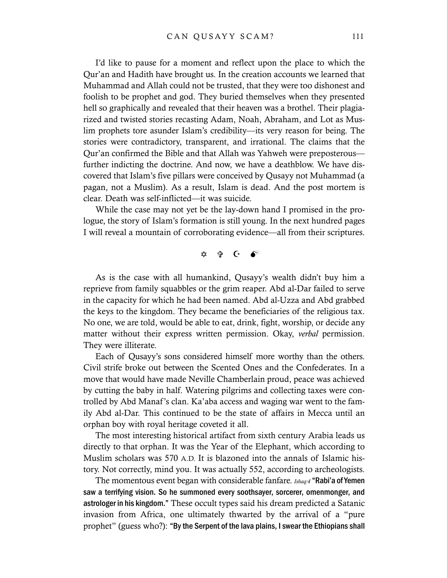I'd like to pause for a moment and reflect upon the place to which the Qur'an and Hadith have brought us. In the creation accounts we learned that Muhammad and Allah could not be trusted, that they were too dishonest and foolish to be prophet and god. They buried themselves when they presented hell so graphically and revealed that their heaven was a brothel. Their plagiarized and twisted stories recasting Adam, Noah, Abraham, and Lot as Muslim prophets tore asunder Islam's credibility—its very reason for being. The stories were contradictory, transparent, and irrational. The claims that the Qur'an confirmed the Bible and that Allah was Yahweh were preposterous further indicting the doctrine. And now, we have a deathblow. We have discovered that Islam's five pillars were conceived by Qusayy not Muhammad (a pagan, not a Muslim). As a result, Islam is dead. And the post mortem is clear. Death was self-inflicted—it was suicide.

While the case may not yet be the lay-down hand I promised in the prologue, the story of Islam's formation is still young. In the next hundred pages I will reveal a mountain of corroborating evidence—all from their scriptures.

**な 中 C 6<sup>%</sup>** 

As is the case with all humankind, Qusayy's wealth didn't buy him a reprieve from family squabbles or the grim reaper. Abd al-Dar failed to serve in the capacity for which he had been named. Abd al-Uzza and Abd grabbed the keys to the kingdom. They became the beneficiaries of the religious tax. No one, we are told, would be able to eat, drink, fight, worship, or decide any matter without their express written permission. Okay, *verbal* permission. They were illiterate.

Each of Qusayy's sons considered himself more worthy than the others. Civil strife broke out between the Scented Ones and the Confederates. In a move that would have made Neville Chamberlain proud, peace was achieved by cutting the baby in half. Watering pilgrims and collecting taxes were controlled by Abd Manaf's clan. Ka'aba access and waging war went to the family Abd al-Dar. This continued to be the state of affairs in Mecca until an orphan boy with royal heritage coveted it all.

The most interesting historical artifact from sixth century Arabia leads us directly to that orphan. It was the Year of the Elephant, which according to Muslim scholars was 570 A.D. It is blazoned into the annals of Islamic history. Not correctly, mind you. It was actually 552, according to archeologists.

The momentous event began with considerable fanfare. *Ishaq:4* "Rabi'a of Yemen saw a terrifying vision. So he summoned every soothsayer, sorcerer, omenmonger, and astrologer in his kingdom." These occult types said his dream predicted a Satanic invasion from Africa, one ultimately thwarted by the arrival of a "pure prophet" (guess who?): "By the Serpent of the lava plains, I swear the Ethiopians shall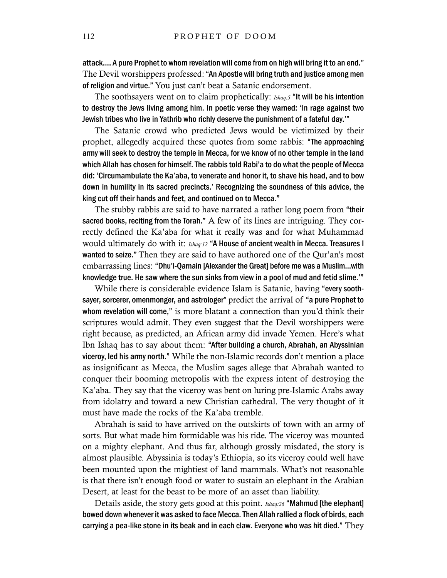attack.... A pure Prophet to whom revelation will come from on high will bring it to an end." The Devil worshippers professed:"An Apostle will bring truth and justice among men of religion and virtue." You just can't beat a Satanic endorsement.

The soothsayers went on to claim prophetically: *Ishaq:5* "It will be his intention to destroy the Jews living among him. In poetic verse they warned: 'In rage against two Jewish tribes who live in Yathrib who richly deserve the punishment of a fateful day.'"

The Satanic crowd who predicted Jews would be victimized by their prophet, allegedly acquired these quotes from some rabbis: "The approaching army will seek to destroy the temple in Mecca, for we know of no other temple in the land which Allah has chosen for himself. The rabbis told Rabi'a to do what the people of Mecca did: 'Circumambulate the Ka'aba, to venerate and honor it, to shave his head, and to bow down in humility in its sacred precincts.' Recognizing the soundness of this advice, the king cut off their hands and feet, and continued on to Mecca."

The stubby rabbis are said to have narrated a rather long poem from "their sacred books, reciting from the Torah." A few of its lines are intriguing. They correctly defined the Ka'aba for what it really was and for what Muhammad would ultimately do with it: *Ishaq:12* "A House of ancient wealth in Mecca. Treasures I wanted to seize." Then they are said to have authored one of the Qur'an's most embarrassing lines: "Dhu'l-Qarnain [Alexander the Great] before me was a Muslim...with knowledge true. He saw where the sun sinks from view in a pool of mud and fetid slime.'"

While there is considerable evidence Islam is Satanic, having "every soothsayer, sorcerer, omenmonger, and astrologer" predict the arrival of "a pure Prophet to whom revelation will come," is more blatant a connection than you'd think their scriptures would admit. They even suggest that the Devil worshippers were right because, as predicted, an African army did invade Yemen. Here's what Ibn Ishaq has to say about them: "After building a church, Abrahah, an Abyssinian viceroy, led his army north." While the non-Islamic records don't mention a place as insignificant as Mecca, the Muslim sages allege that Abrahah wanted to conquer their booming metropolis with the express intent of destroying the Ka'aba. They say that the viceroy was bent on luring pre-Islamic Arabs away from idolatry and toward a new Christian cathedral. The very thought of it must have made the rocks of the Ka'aba tremble.

Abrahah is said to have arrived on the outskirts of town with an army of sorts. But what made him formidable was his ride. The viceroy was mounted on a mighty elephant. And thus far, although grossly misdated, the story is almost plausible. Abyssinia is today's Ethiopia, so its viceroy could well have been mounted upon the mightiest of land mammals. What's not reasonable is that there isn't enough food or water to sustain an elephant in the Arabian Desert, at least for the beast to be more of an asset than liability.

Details aside, the story gets good at this point. *Ishaq:26* "Mahmud [the elephant] bowed down whenever it was asked to face Mecca. Then Allah rallied a flock of birds, each carrying a pea-like stone in its beak and in each claw. Everyone who was hit died." They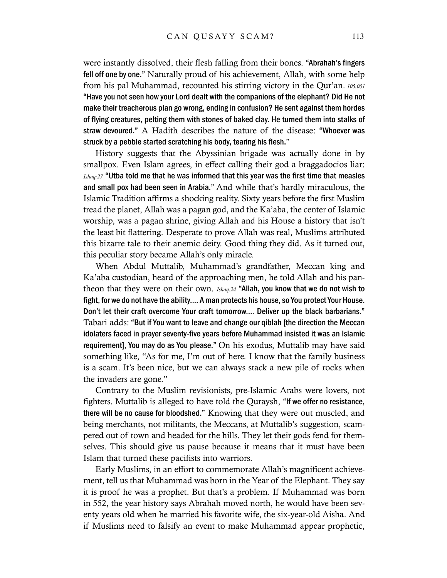were instantly dissolved, their flesh falling from their bones. "Abrahah's fingers fell off one by one." Naturally proud of his achievement, Allah, with some help from his pal Muhammad, recounted his stirring victory in the Qur'an. *105.001* "Have you not seen how your Lord dealt with the companions of the elephant? Did He not make their treacherous plan go wrong, ending in confusion? He sent against them hordes of flying creatures, pelting them with stones of baked clay. He turned them into stalks of straw devoured." A Hadith describes the nature of the disease: "Whoever was struck by a pebble started scratching his body, tearing his flesh."

History suggests that the Abyssinian brigade was actually done in by smallpox. Even Islam agrees, in effect calling their god a braggadocios liar: *Ishaq:27* "Utba told me that he was informed that this year was the first time that measles and small pox had been seen in Arabia." And while that's hardly miraculous, the Islamic Tradition affirms a shocking reality. Sixty years before the first Muslim tread the planet, Allah was a pagan god, and the Ka'aba, the center of Islamic worship, was a pagan shrine, giving Allah and his House a history that isn't the least bit flattering. Desperate to prove Allah was real, Muslims attributed this bizarre tale to their anemic deity. Good thing they did. As it turned out, this peculiar story became Allah's only miracle.

When Abdul Muttalib, Muhammad's grandfather, Meccan king and Ka'aba custodian, heard of the approaching men, he told Allah and his pantheon that they were on their own. *Ishaq:24* "Allah, you know that we do not wish to fight, for we do not have the ability.... A man protects his house, so You protect Your House. Don't let their craft overcome Your craft tomorrow.... Deliver up the black barbarians." Tabari adds: "But if You want to leave and change our qiblah [the direction the Meccan idolaters faced in prayer seventy-five years before Muhammad insisted it was an Islamic requirement], You may do as You please." On his exodus, Muttalib may have said something like, "As for me, I'm out of here. I know that the family business is a scam. It's been nice, but we can always stack a new pile of rocks when the invaders are gone."

Contrary to the Muslim revisionists, pre-Islamic Arabs were lovers, not fighters. Muttalib is alleged to have told the Quraysh, "If we offer no resistance, there will be no cause for bloodshed." Knowing that they were out muscled, and being merchants, not militants, the Meccans, at Muttalib's suggestion, scampered out of town and headed for the hills. They let their gods fend for themselves. This should give us pause because it means that it must have been Islam that turned these pacifists into warriors.

Early Muslims, in an effort to commemorate Allah's magnificent achievement, tell us that Muhammad was born in the Year of the Elephant. They say it is proof he was a prophet. But that's a problem. If Muhammad was born in 552, the year history says Abrahah moved north, he would have been seventy years old when he married his favorite wife, the six-year-old Aisha. And if Muslims need to falsify an event to make Muhammad appear prophetic,